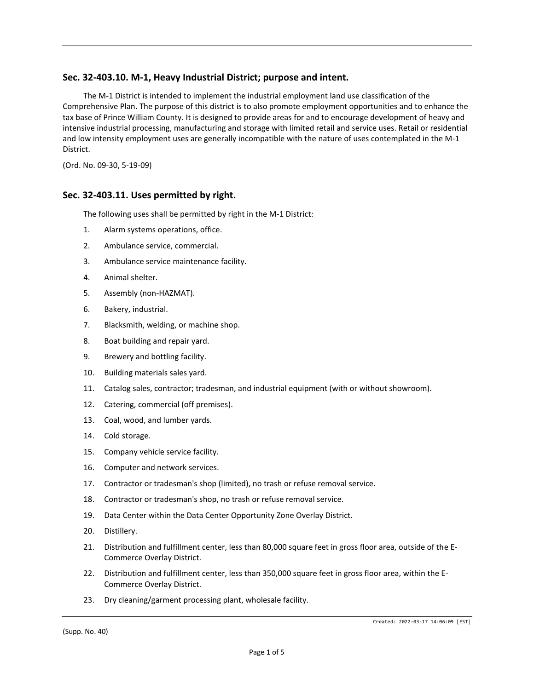# **Sec. 32-403.10. M-1, Heavy Industrial District; purpose and intent.**

The M-1 District is intended to implement the industrial employment land use classification of the Comprehensive Plan. The purpose of this district is to also promote employment opportunities and to enhance the tax base of Prince William County. It is designed to provide areas for and to encourage development of heavy and intensive industrial processing, manufacturing and storage with limited retail and service uses. Retail or residential and low intensity employment uses are generally incompatible with the nature of uses contemplated in the M-1 District.

(Ord. No. 09-30, 5-19-09)

## **Sec. 32-403.11. Uses permitted by right.**

The following uses shall be permitted by right in the M-1 District:

- 1. Alarm systems operations, office.
- 2. Ambulance service, commercial.
- 3. Ambulance service maintenance facility.
- 4. Animal shelter.
- 5. Assembly (non-HAZMAT).
- 6. Bakery, industrial.
- 7. Blacksmith, welding, or machine shop.
- 8. Boat building and repair yard.
- 9. Brewery and bottling facility.
- 10. Building materials sales yard.
- 11. Catalog sales, contractor; tradesman, and industrial equipment (with or without showroom).
- 12. Catering, commercial (off premises).
- 13. Coal, wood, and lumber yards.
- 14. Cold storage.
- 15. Company vehicle service facility.
- 16. Computer and network services.
- 17. Contractor or tradesman's shop (limited), no trash or refuse removal service.
- 18. Contractor or tradesman's shop, no trash or refuse removal service.
- 19. Data Center within the Data Center Opportunity Zone Overlay District.
- 20. Distillery.
- 21. Distribution and fulfillment center, less than 80,000 square feet in gross floor area, outside of the E-Commerce Overlay District.
- 22. Distribution and fulfillment center, less than 350,000 square feet in gross floor area, within the E-Commerce Overlay District.
- 23. Dry cleaning/garment processing plant, wholesale facility.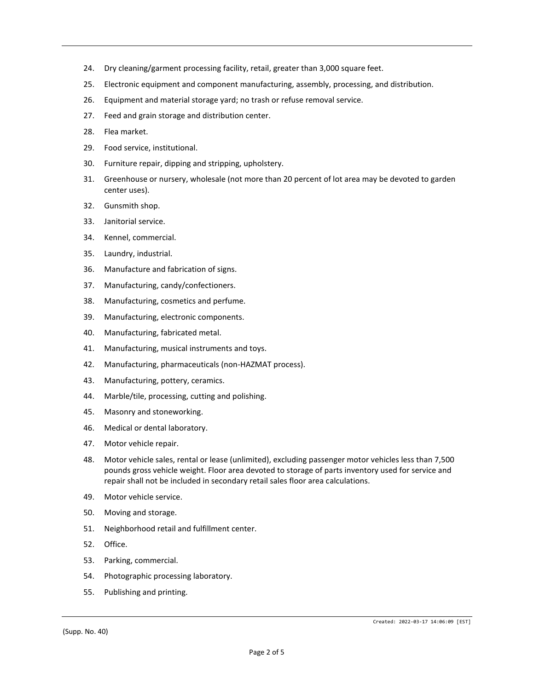- 24. Dry cleaning/garment processing facility, retail, greater than 3,000 square feet.
- 25. Electronic equipment and component manufacturing, assembly, processing, and distribution.
- 26. Equipment and material storage yard; no trash or refuse removal service.
- 27. Feed and grain storage and distribution center.
- 28. Flea market.
- 29. Food service, institutional.
- 30. Furniture repair, dipping and stripping, upholstery.
- 31. Greenhouse or nursery, wholesale (not more than 20 percent of lot area may be devoted to garden center uses).
- 32. Gunsmith shop.
- 33. Janitorial service.
- 34. Kennel, commercial.
- 35. Laundry, industrial.
- 36. Manufacture and fabrication of signs.
- 37. Manufacturing, candy/confectioners.
- 38. Manufacturing, cosmetics and perfume.
- 39. Manufacturing, electronic components.
- 40. Manufacturing, fabricated metal.
- 41. Manufacturing, musical instruments and toys.
- 42. Manufacturing, pharmaceuticals (non-HAZMAT process).
- 43. Manufacturing, pottery, ceramics.
- 44. Marble/tile, processing, cutting and polishing.
- 45. Masonry and stoneworking.
- 46. Medical or dental laboratory.
- 47. Motor vehicle repair.
- 48. Motor vehicle sales, rental or lease (unlimited), excluding passenger motor vehicles less than 7,500 pounds gross vehicle weight. Floor area devoted to storage of parts inventory used for service and repair shall not be included in secondary retail sales floor area calculations.
- 49. Motor vehicle service.
- 50. Moving and storage.
- 51. Neighborhood retail and fulfillment center.
- 52. Office.
- 53. Parking, commercial.
- 54. Photographic processing laboratory.
- 55. Publishing and printing.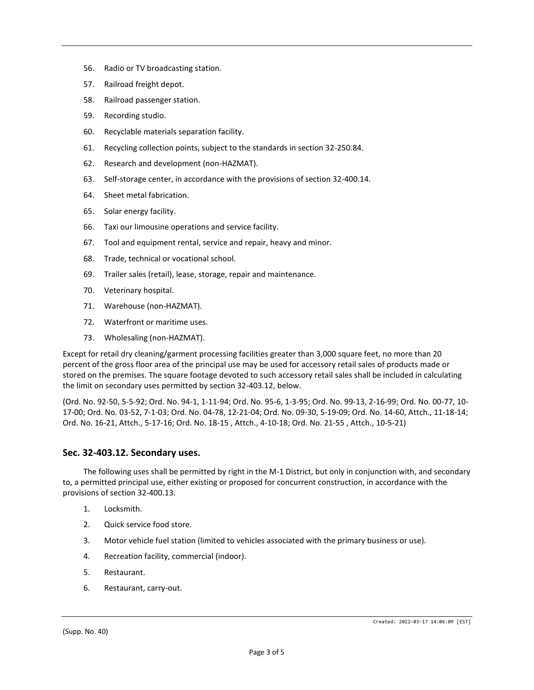- 56. Radio or TV broadcasting station.
- 57. Railroad freight depot.
- 58. Railroad passenger station.
- 59. Recording studio.
- 60. Recyclable materials separation facility.
- 61. Recycling collection points, subject to the standards in section 32-250.84.
- 62. Research and development (non-HAZMAT).
- 63. Self-storage center, in accordance with the provisions of section 32-400.14.
- 64. Sheet metal fabrication.
- 65. Solar energy facility.
- 66. Taxi our limousine operations and service facility.
- 67. Tool and equipment rental, service and repair, heavy and minor.
- 68. Trade, technical or vocational school.
- 69. Trailer sales (retail), lease, storage, repair and maintenance.
- 70. Veterinary hospital.
- 71. Warehouse (non-HAZMAT).
- 72. Waterfront or maritime uses.
- 73. Wholesaling (non-HAZMAT).

Except for retail dry cleaning/garment processing facilities greater than 3,000 square feet, no more than 20 percent of the gross floor area of the principal use may be used for accessory retail sales of products made or stored on the premises. The square footage devoted to such accessory retail sales shall be included in calculating the limit on secondary uses permitted by section 32-403.12, below.

(Ord. No. 92-50, 5-5-92; Ord. No. 94-1, 1-11-94; Ord. No. 95-6, 1-3-95; Ord. No. 99-13, 2-16-99; Ord. No. 00-77, 10- 17-00; Ord. No. 03-52, 7-1-03; Ord. No. 04-78, 12-21-04; Ord. No. 09-30, 5-19-09; Ord. No. 14-60, Attch., 11-18-14; Ord. No. 16-21, Attch., 5-17-16; Ord. No. 18-15 , Attch., 4-10-18; Ord. No. 21-55 , Attch., 10-5-21)

## **Sec. 32-403.12. Secondary uses.**

The following uses shall be permitted by right in the M-1 District, but only in conjunction with, and secondary to, a permitted principal use, either existing or proposed for concurrent construction, in accordance with the provisions of section 32-400.13.

- 1. Locksmith.
- 2. Quick service food store.
- 3. Motor vehicle fuel station (limited to vehicles associated with the primary business or use).
- 4. Recreation facility, commercial (indoor).
- 5. Restaurant.
- 6. Restaurant, carry-out.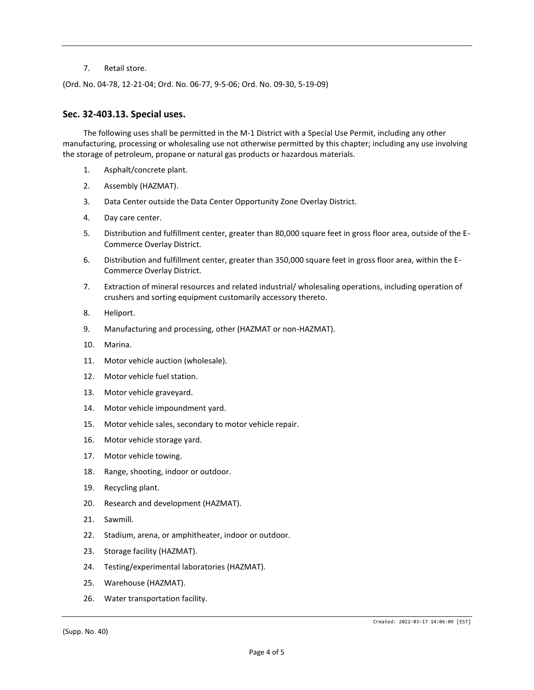#### 7. Retail store.

(Ord. No. 04-78, 12-21-04; Ord. No. 06-77, 9-5-06; Ord. No. 09-30, 5-19-09)

### **Sec. 32-403.13. Special uses.**

The following uses shall be permitted in the M-1 District with a Special Use Permit, including any other manufacturing, processing or wholesaling use not otherwise permitted by this chapter; including any use involving the storage of petroleum, propane or natural gas products or hazardous materials.

- 1. Asphalt/concrete plant.
- 2. Assembly (HAZMAT).
- 3. Data Center outside the Data Center Opportunity Zone Overlay District.
- 4. Day care center.
- 5. Distribution and fulfillment center, greater than 80,000 square feet in gross floor area, outside of the E-Commerce Overlay District.
- 6. Distribution and fulfillment center, greater than 350,000 square feet in gross floor area, within the E-Commerce Overlay District.
- 7. Extraction of mineral resources and related industrial/ wholesaling operations, including operation of crushers and sorting equipment customarily accessory thereto.
- 8. Heliport.
- 9. Manufacturing and processing, other (HAZMAT or non-HAZMAT).
- 10. Marina.
- 11. Motor vehicle auction (wholesale).
- 12. Motor vehicle fuel station.
- 13. Motor vehicle graveyard.
- 14. Motor vehicle impoundment yard.
- 15. Motor vehicle sales, secondary to motor vehicle repair.
- 16. Motor vehicle storage yard.
- 17. Motor vehicle towing.
- 18. Range, shooting, indoor or outdoor.
- 19. Recycling plant.
- 20. Research and development (HAZMAT).
- 21. Sawmill.
- 22. Stadium, arena, or amphitheater, indoor or outdoor.
- 23. Storage facility (HAZMAT).
- 24. Testing/experimental laboratories (HAZMAT).
- 25. Warehouse (HAZMAT).
- 26. Water transportation facility.